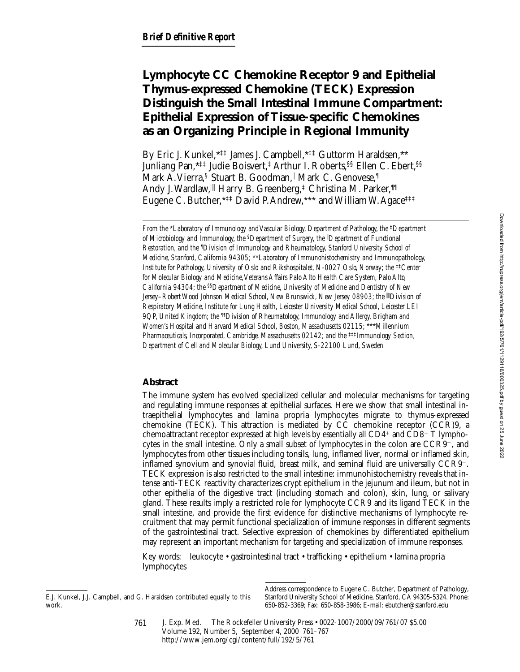# **Lymphocyte CC Chemokine Receptor 9 and Epithelial Thymus-expressed Chemokine (TECK) Expression Distinguish the Small Intestinal Immune Compartment: Epithelial Expression of Tissue-specific Chemokines as an Organizing Principle in Regional Immunity**

By Eric J. Kunkel,\*‡‡ James J. Campbell,\*‡‡ Guttorm Haraldsen,\*\* Junliang Pan,\*‡‡ Judie Boisvert,‡ Arthur I. Roberts,§§ Ellen C. Ebert,§§ Mark A. Vierra,§ Stuart B. Goodman,<sup>i</sup> Mark C. Genovese,*¶* Andy J. Wardlaw,ii Harry B. Greenberg,‡ Christina M. Parker,*¶¶* Eugene C. Butcher,\*‡‡ David P. Andrew,\*\*\* and William W. Agace‡‡‡

*From the* \**Laboratory of Immunology and Vascular Biology, Department of Pathology, the* ‡*Department of Microbiology and Immunology, the* §*Department of Surgery, the* <sup>i</sup> *Department of Functional Restoration, and the ¶ Division of Immunology and Rheumatology, Stanford University School of Medicine, Stanford, California 94305;* \*\**Laboratory of Immunohistochemistry and Immunopathology, Institute for Pathology, University of Oslo and Rikshospitalet, N-0027 Oslo, Norway; the* <sup>‡‡</sup>*Center for Molecular Biology and Medicine, Veterans Affairs Palo Alto Health Care System, Palo Alto, California 94304; the* §§*Department of Medicine, University of Medicine and Dentistry of New Jersey–Robert Wood Johnson Medical School, New Brunswick, New Jersey 08903; the* ii*Division of Respiratory Medicine, Institute for Lung Health, Leicester University Medical School, Leicester LEI*  9QP, United Kingdom; the <sup>11</sup>Division of Rheumatology, Immunology and Allergy, Brigham and *Women's Hospital and Harvard Medical School, Boston, Massachusetts 02115;* \*\*\**Millennium Pharmaceuticals, Incorporated, Cambridge, Massachusetts 02142; and the*<sup> $\ddagger\ddagger\ddagger$ *Immunology Section,*</sup> *Department of Cell and Molecular Biology, Lund University, S-22100 Lund, Sweden*

# **Abstract**

The immune system has evolved specialized cellular and molecular mechanisms for targeting and regulating immune responses at epithelial surfaces. Here we show that small intestinal intraepithelial lymphocytes and lamina propria lymphocytes migrate to thymus-expressed chemokine (TECK). This attraction is mediated by CC chemokine receptor (CCR)9, a chemoattractant receptor expressed at high levels by essentially all  $CD4^+$  and  $CD8^+$  T lymphocytes in the small intestine. Only a small subset of lymphocytes in the colon are  $CCR9^+$ , and lymphocytes from other tissues including tonsils, lung, inflamed liver, normal or inflamed skin, inflamed synovium and synovial fluid, breast milk, and seminal fluid are universally  $CCR9^-$ . TECK expression is also restricted to the small intestine: immunohistochemistry reveals that intense anti-TECK reactivity characterizes crypt epithelium in the jejunum and ileum, but not in other epithelia of the digestive tract (including stomach and colon), skin, lung, or salivary gland. These results imply a restricted role for lymphocyte CCR9 and its ligand TECK in the small intestine, and provide the first evidence for distinctive mechanisms of lymphocyte recruitment that may permit functional specialization of immune responses in different segments of the gastrointestinal tract. Selective expression of chemokines by differentiated epithelium may represent an important mechanism for targeting and specialization of immune responses.

Key words: leukocyte • gastrointestinal tract • trafficking • epithelium • lamina propria lymphocytes

E.J. Kunkel, J.J. Campbell, and G. Haraldsen contributed equally to this work.

Address correspondence to Eugene C. Butcher, Department of Pathology, Stanford University School of Medicine, Stanford, CA 94305-5324. Phone: 650-852-3369; Fax: 650-858-3986; E-mail: ebutcher@stanford.edu

J. Exp. Med. The Rockefeller University Press • 0022-1007/2000/09/761/07 \$5.00 Volume 192, Number 5, September 4, 2000 761–767 http://www.jem.org/cgi/content/full/192/5/761 761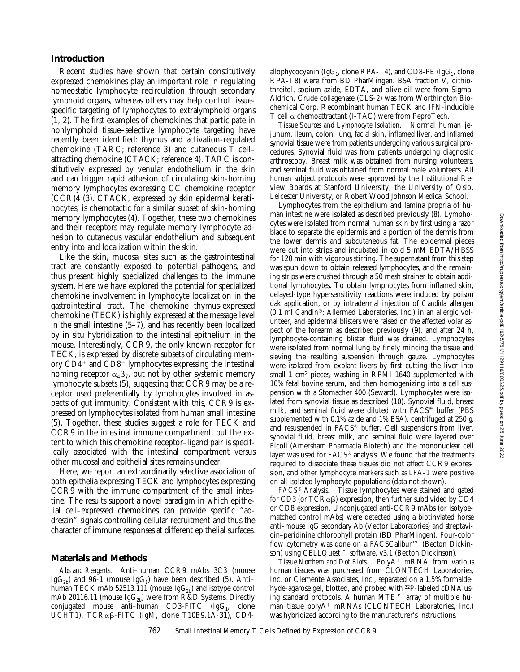Recent studies have shown that certain constitutively expressed chemokines play an important role in regulating homeostatic lymphocyte recirculation through secondary lymphoid organs, whereas others may help control tissuespecific targeting of lymphocytes to extralymphoid organs (1, 2). The first examples of chemokines that participate in nonlymphoid tissue–selective lymphocyte targeting have recently been identified: thymus and activation-regulated chemokine (TARC; reference 3) and cutaneous T cell– attracting chemokine (CTACK; reference 4). TARC is constitutively expressed by venular endothelium in the skin and can trigger rapid adhesion of circulating skin-homing memory lymphocytes expressing CC chemokine receptor (CCR)4 (3). CTACK, expressed by skin epidermal keratinocytes, is chemotactic for a similar subset of skin-homing memory lymphocytes (4). Together, these two chemokines and their receptors may regulate memory lymphocyte adhesion to cutaneous vascular endothelium and subsequent entry into and localization within the skin.

Like the skin, mucosal sites such as the gastrointestinal tract are constantly exposed to potential pathogens, and thus present highly specialized challenges to the immune system. Here we have explored the potential for specialized chemokine involvement in lymphocyte localization in the gastrointestinal tract. The chemokine thymus-expressed chemokine (TECK) is highly expressed at the message level in the small intestine (5–7), and has recently been localized by in situ hybridization to the intestinal epithelium in the mouse. Interestingly, CCR9, the only known receptor for TECK, is expressed by discrete subsets of circulating memory  $CD4^+$  and  $CD8^+$  lymphocytes expressing the intestinal homing receptor  $\alpha_4\beta_7$ , but not by other systemic memory lymphocyte subsets (5), suggesting that CCR9 may be a receptor used preferentially by lymphocytes involved in aspects of gut immunity. Consistent with this, CCR9 is expressed on lymphocytes isolated from human small intestine (5). Together, these studies suggest a role for TECK and CCR9 in the intestinal immune compartment, but the extent to which this chemokine receptor–ligand pair is specifically associated with the intestinal compartment versus other mucosal and epithelial sites remains unclear.

Here, we report an extraordinarily selective association of both epithelia expressing TECK and lymphocytes expressing CCR9 with the immune compartment of the small intestine. The results support a novel paradigm in which epithelial cell–expressed chemokines can provide specific "addressin" signals controlling cellular recruitment and thus the character of immune responses at different epithelial surfaces.

#### **Materials and Methods**

*Abs and Reagents.* Anti–human CCR9 mAbs 3C3 (mouse Ig $G_{2b}$ ) and 96-1 (mouse Ig $G_1$ ) have been described (5). Antihuman TECK mAb 52513.111 (mouse  $\text{IgG}_{2b}$ ) and isotype control mAb 20116.11 (mouse  $\text{IgG}_{2b}$ ) were from R&D Systems. Directly conjugated mouse anti-human CD3-FITC  $(IgG<sub>1</sub>,$  clone UCHT1), TCR $\alpha\beta$ -FITC (IgM, clone T10B9.1A-31), CD4allophycocyanin (IgG<sub>1</sub>, clone RPA-T4), and CD8-PE (IgG<sub>1</sub>, clone RPA-T8) were from BD PharMingen. BSA fraction V, dithiothreitol, sodium azide, EDTA, and olive oil were from Sigma-Aldrich. Crude collagenase (CLS-2) was from Worthington Biochemical Corp. Recombinant human TECK and IFN-inducible  $T$  cell  $\alpha$  chemoattractant (I-TAC) were from PeproTech.

*Tissue Sources and Lymphocyte Isolation.* Normal human jejunum, ileum, colon, lung, facial skin, inflamed liver, and inflamed synovial tissue were from patients undergoing various surgical procedures. Synovial fluid was from patients undergoing diagnostic arthroscopy. Breast milk was obtained from nursing volunteers, and seminal fluid was obtained from normal male volunteers. All human subject protocols were approved by the Institutional Review Boards at Stanford University, the University of Oslo, Leicester University, or Robert Wood Johnson Medical School.

Lymphocytes from the epithelium and lamina propria of human intestine were isolated as described previously (8). Lymphocytes were isolated from normal human skin by first using a razor blade to separate the epidermis and a portion of the dermis from the lower dermis and subcutaneous fat. The epidermal pieces were cut into strips and incubated in cold 5 mM EDTA/HBSS for 120 min with vigorous stirring. The supernatant from this step was spun down to obtain released lymphocytes, and the remaining strips were crushed through a 50 mesh strainer to obtain additional lymphocytes. To obtain lymphocytes from inflamed skin, delayed-type hypersensitivity reactions were induced by poison oak application, or by intradermal injection of *Candida* allergen (0.1 ml Candin®; Allermed Laboratories, Inc.) in an allergic volunteer, and epidermal blisters were raised on the affected volar aspect of the forearm as described previously (9), and after 24 h, lymphocyte-containing blister fluid was drained. Lymphocytes were isolated from normal lung by finely mincing the tissue and sieving the resulting suspension through gauze. Lymphocytes were isolated from explant livers by first cutting the liver into small 1-cm2 pieces, washing in RPMI 1640 supplemented with 10% fetal bovine serum, and then homogenizing into a cell suspension with a Stomacher 400 (Seward). Lymphocytes were isolated from synovial tissue as described (10). Synovial fluid, breast milk, and seminal fluid were diluted with FACS® buffer (PBS supplemented with 0.1% azide and 1% BSA), centrifuged at 250 *g*, and resuspended in FACS® buffer. Cell suspensions from liver, synovial fluid, breast milk, and seminal fluid were layered over Ficoll (Amersham Pharmacia Biotech) and the mononuclear cell layer was used for FACS® analysis. We found that the treatments required to dissociate these tissues did not affect CCR9 expression, and other lymphocyte markers such as LFA-1 were positive on all isolated lymphocyte populations (data not shown).

*FACS® Analysis.* Tissue lymphocytes were stained and gated for CD3 (or  $TCR\alpha\beta$ ) expression, then further subdivided by CD4 or CD8 expression. Unconjugated anti-CCR9 mAbs (or isotypematched control mAbs) were detected using a biotinylated horse anti–mouse IgG secondary Ab (Vector Laboratories) and streptavidin–peridinine chlorophyll protein (BD PharMingen). Four-color flow cytometry was done on a FACSCalibur™ (Becton Dickinson) using CELLQuest<sup>™</sup> software, v3.1 (Becton Dickinson).

*Tissue Northern and Dot Blots.* PolyA<sup>+</sup> mRNA from various human tissues was purchased from CLONTECH Laboratories, Inc. or Clemente Associates, Inc., separated on a 1.5% formaldehyde-agarose gel, blotted, and probed with 32P-labeled cDNA using standard protocols. A human MTE™ array of multiple human tissue  $polyA<sup>+</sup>$  mRNAs (CLONTECH Laboratories, Inc.) was hybridized according to the manufacturer's instructions.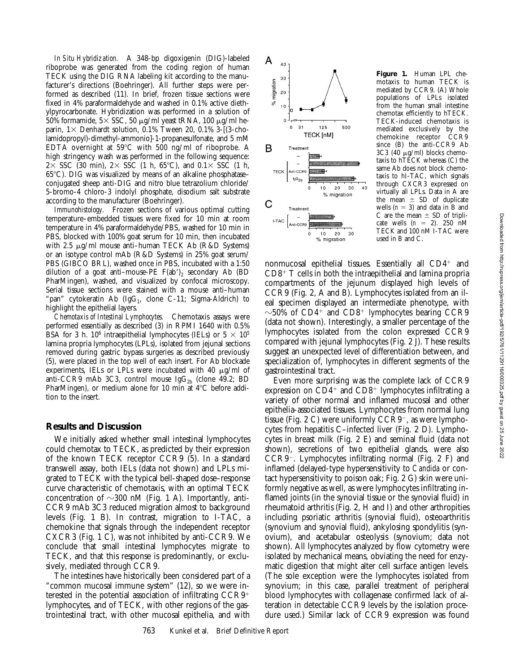*In Situ Hybridization.* A 348-bp digoxigenin (DIG)-labeled riboprobe was generated from the coding region of human TECK using the DIG RNA labeling kit according to the manufacturer's directions (Boehringer). All further steps were performed as described (11). In brief, frozen tissue sections were fixed in 4% paraformaldehyde and washed in 0.1% active diethylpyrocarbonate. Hybridization was performed in a solution of 50% formamide,  $5 \times$  SSC, 50  $\mu$ g/ml yeast tRNA, 100  $\mu$ g/ml heparin,  $1 \times$  Denhardt solution, 0.1% Tween 20, 0.1% 3-[(3-cholamidopropyl)-dimethyl-ammonio]-1-propanesulfonate, and 5 mM EDTA overnight at  $59^{\circ}$ C with 500 ng/ml of riboprobe. A high stringency wash was performed in the following sequence:  $2 \times$  SSC (30 min),  $2 \times$  SSC (1 h, 65°C), and 0.1 $\times$  SSC (1 h,  $65^{\circ}$ C). DIG was visualized by means of an alkaline phosphatase– conjugated sheep anti-DIG and nitro blue tetrazolium chloride/ 5-bromo-4 chloro-3 indolyl phosphate, disodium salt substrate according to the manufacturer (Boehringer).

*Immunohistology.* Frozen sections of various optimal cutting temperature–embedded tissues were fixed for 10 min at room temperature in 4% paraformaldehyde/PBS, washed for 10 min in PBS, blocked with 100% goat serum for 10 min, then incubated with 2.5  $\mu$ g/ml mouse anti-human TECK Ab (R&D Systems) or an isotype control mAb (R&D Systems) in 25% goat serum/ PBS (GIBCO BRL), washed once in PBS, incubated with a 1:50 dilution of a goat anti-mouse-PE  $F(ab')_2$  secondary Ab (BD PharMingen), washed, and visualized by confocal microscopy. Serial tissue sections were stained with a mouse anti–human "pan" cytokeratin Ab  $(IgG_1,$  clone C-11; Sigma-Aldrich) to highlight the epithelial layers.

*Chemotaxis of Intestinal Lymphocytes.* Chemotaxis assays were performed essentially as described (3) in RPMI 1640 with 0.5% BSA for 3 h. 10<sup>6</sup> intraepithelial lymphocytes (IELs) or  $5 \times 10^5$ lamina propria lymphocytes (LPLs), isolated from jejunal sections removed during gastric bypass surgeries as described previously (5), were placed in the top well of each insert. For Ab blockade experiments, IELs or LPLs were incubated with 40  $\mu$ g/ml of anti-CCR9 mAb 3C3, control mouse  $\text{IgG}_{2b}$  (clone 49.2; BD PharMingen), or medium alone for 10 min at  $4^{\circ}$ C before addition to the insert.

## **Results and Discussion**

We initially asked whether small intestinal lymphocytes could chemotax to TECK, as predicted by their expression of the known TECK receptor CCR9 (5). In a standard transwell assay, both IELs (data not shown) and LPLs migrated to TECK with the typical bell-shaped dose–response curve characteristic of chemotaxis, with an optimal TECK concentration of  $\sim$ 300 nM (Fig. 1 A). Importantly, anti-CCR9 mAb 3C3 reduced migration almost to background levels (Fig. 1 B). In contrast, migration to I-TAC, a chemokine that signals through the independent receptor CXCR3 (Fig. 1 C), was not inhibited by anti-CCR9. We conclude that small intestinal lymphocytes migrate to TECK, and that this response is predominantly, or exclusively, mediated through CCR9.

The intestines have historically been considered part of a "common mucosal immune system" (12), so we were interested in the potential association of infiltrating  $CCR9$ <sup>+</sup> lymphocytes, and of TECK, with other regions of the gastrointestinal tract, with other mucosal epithelia, and with



**Figure 1.** Human LPL chemotaxis to human TECK is mediated by CCR9. (A) Whole populations of LPLs isolated from the human small intestine chemotax efficiently to hTECK. TECK-induced chemotaxis is mediated exclusively by the chemokine receptor CCR9 since (B) the anti-CCR9 Ab  $3C3$  (40  $\mu$ g/ml) blocks chemotaxis to hTECK whereas (C) the same Ab does not block chemotaxis to hI-TAC, which signals through CXCR3 expressed on virtually all LPLs. Data in A are the mean  $\pm$  SD of duplicate wells  $(n = 3)$  and data in B and C are the mean  $\pm$  SD of triplicate wells  $(n = 2)$ . 250 nM TECK and 100 nM I-TAC were used in B and C.

nonmucosal epithelial tissues. Essentially all  $CD4^+$  and  $CD8^+$  T cells in both the intraepithelial and lamina propria compartments of the jejunum displayed high levels of CCR9 (Fig. 2, A and B). Lymphocytes isolated from an ileal specimen displayed an intermediate phenotype, with  $\sim$ 50% of CD4<sup>+</sup> and CD8<sup>+</sup> lymphocytes bearing CCR9 (data not shown). Interestingly, a smaller percentage of the lymphocytes isolated from the colon expressed CCR9 compared with jejunal lymphocytes (Fig. 2 J). These results suggest an unexpected level of differentiation between, and specialization of, lymphocytes in different segments of the gastrointestinal tract.

Even more surprising was the complete lack of CCR9 expression on  $CD4^+$  and  $CD8^+$  lymphocytes infiltrating a variety of other normal and inflamed mucosal and other epithelia-associated tissues. Lymphocytes from normal lung tissue (Fig.  $2$  C) were uniformly CCR9<sup>-</sup>, as were lymphocytes from hepatitis C–infected liver (Fig. 2 D). Lymphocytes in breast milk (Fig. 2 E) and seminal fluid (data not shown), secretions of two epithelial glands, were also  $CCR9$ <sup>-</sup>. Lymphocytes infiltrating normal (Fig. 2 F) and inflamed (delayed-type hypersensitivity to *Candida* or contact hypersensitivity to poison oak; Fig. 2 G) skin were uniformly negative as well, as were lymphocytes infiltrating inflamed joints (in the synovial tissue or the synovial fluid) in rheumatoid arthritis (Fig. 2, H and I) and other arthropities including psoriatic arthritis (synovial fluid), osteoarthritis (synovium and synovial fluid), ankylosing spondylitis (synovium), and acetabular osteolysis (synovium; data not shown). All lymphocytes analyzed by flow cytometry were isolated by mechanical means, obviating the need for enzymatic digestion that might alter cell surface antigen levels. (The sole exception were the lymphocytes isolated from synovium; in this case, parallel treatment of peripheral blood lymphocytes with collagenase confirmed lack of alteration in detectable CCR9 levels by the isolation procedure used.) Similar lack of CCR9 expression was found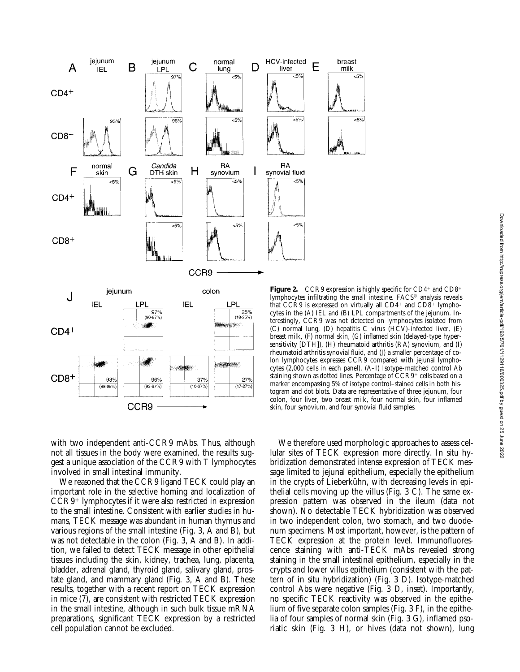

with two independent anti-CCR9 mAbs. Thus, although not all tissues in the body were examined, the results suggest a unique association of the CCR9 with T lymphocytes involved in small intestinal immunity.

We reasoned that the CCR9 ligand TECK could play an important role in the selective homing and localization of  $CCR9$ <sup>+</sup> lymphocytes if it were also restricted in expression to the small intestine. Consistent with earlier studies in humans, TECK message was abundant in human thymus and various regions of the small intestine (Fig. 3, A and B), but was not detectable in the colon (Fig. 3, A and B). In addition, we failed to detect TECK message in other epithelial tissues including the skin, kidney, trachea, lung, placenta, bladder, adrenal gland, thyroid gland, salivary gland, prostate gland, and mammary gland (Fig. 3, A and B). These results, together with a recent report on TECK expression in mice (7), are consistent with restricted TECK expression in the small intestine, although in such bulk tissue mRNA preparations, significant TECK expression by a restricted cell population cannot be excluded.

Figure 2. CCR9 expression is highly specific for CD4<sup>+</sup> and CD8<sup>+</sup> lymphocytes infiltrating the small intestine. FACS® analysis reveals that CCR9 is expressed on virtually all  $CD4^+$  and  $CD8^+$  lymphocytes in the (A) IEL and (B) LPL compartments of the jejunum. Interestingly, CCR9 was not detected on lymphocytes isolated from (C) normal lung, (D) hepatitis C virus (HCV)-infected liver, (E) breast milk, (F) normal skin, (G) inflamed skin (delayed-type hypersensitivity [DTH]), (H) rheumatoid arthritis (RA) synovium, and (I) rheumatoid arthritis synovial fluid, and (J) a smaller percentage of colon lymphocytes expresses CCR9 compared with jejunal lymphocytes (2,000 cells in each panel). (A–I) Isotype-matched control Ab staining shown as dotted lines. Percentage of  $\text{CCR}9$ <sup>+</sup> cells based on a marker encompassing 5% of isotype control–stained cells in both histogram and dot blots. Data are representative of three jejunum, four colon, four liver, two breast milk, four normal skin, four inflamed skin, four synovium, and four synovial fluid samples.

 $55%$ 

 $5%$ 

riatic skin (Fig. 3 H), or hives (data not shown), lung cluded. We therefore used morphologic approaches to assess cellular sites of TECK expression more directly. In situ hybridization demonstrated intense expression of TECK message limited to jejunal epithelium, especially the epithelium in the crypts of Lieberkühn, with decreasing levels in epithelial cells moving up the villus (Fig. 3 C). The same expression pattern was observed in the ileum (data not shown). No detectable TECK hybridization was observed in two independent colon, two stomach, and two duodenum specimens. Most important, however, is the pattern of TECK expression at the protein level. Immunofluorescence staining with anti-TECK mAbs revealed strong staining in the small intestinal epithelium, especially in the crypts and lower villus epithelium (consistent with the pattern of in situ hybridization) (Fig. 3 D). Isotype-matched control Abs were negative (Fig. 3 D, inset). Importantly, no specific TECK reactivity was observed in the epithelium of five separate colon samples (Fig. 3 F), in the epithelia of four samples of normal skin (Fig. 3 G), inflamed pso-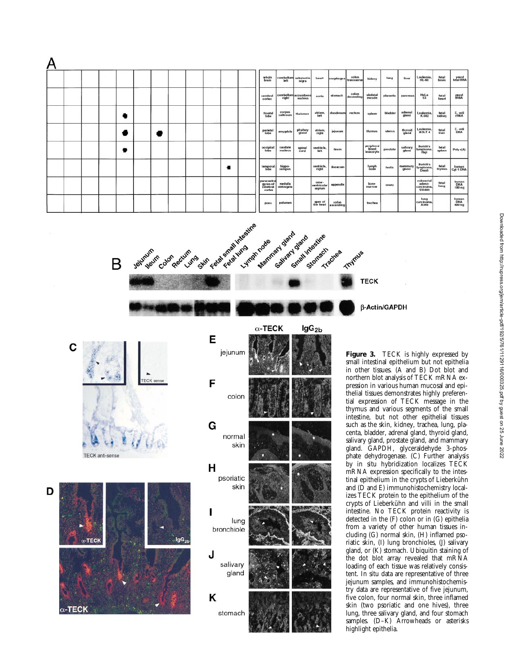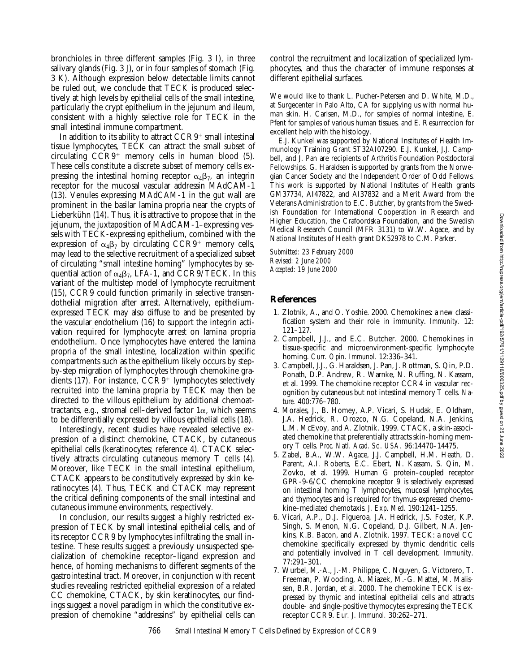bronchioles in three different samples (Fig. 3 I), in three salivary glands (Fig. 3 J), or in four samples of stomach (Fig. 3 K). Although expression below detectable limits cannot be ruled out, we conclude that TECK is produced selectively at high levels by epithelial cells of the small intestine, particularly the crypt epithelium in the jejunum and ileum, consistent with a highly selective role for TECK in the small intestinal immune compartment.

In addition to its ability to attract  $CCR9<sup>+</sup>$  small intestinal tissue lymphocytes, TECK can attract the small subset of circulating  $CCR9$ <sup>+</sup> memory cells in human blood (5). These cells constitute a discrete subset of memory cells expressing the intestinal homing receptor  $\alpha_4\beta_7$ , an integrin receptor for the mucosal vascular addressin MAdCAM-1 (13). Venules expressing MAdCAM-1 in the gut wall are prominent in the basilar lamina propria near the crypts of Lieberkühn (14). Thus, it is attractive to propose that in the jejunum, the juxtaposition of MAdCAM-1–expressing vessels with TECK-expressing epithelium, combined with the expression of  $\alpha_4\beta_7$  by circulating CCR9<sup>+</sup> memory cells, may lead to the selective recruitment of a specialized subset of circulating "small intestine homing" lymphocytes by sequential action of  $\alpha_4\beta_7$ , LFA-1, and CCR9/TECK. In this variant of the multistep model of lymphocyte recruitment (15), CCR9 could function primarily in selective transendothelial migration after arrest. Alternatively, epitheliumexpressed TECK may also diffuse to and be presented by the vascular endothelium (16) to support the integrin activation required for lymphocyte arrest on lamina propria endothelium. Once lymphocytes have entered the lamina propria of the small intestine, localization within specific compartments such as the epithelium likely occurs by stepby-step migration of lymphocytes through chemokine gradients  $(17)$ . For instance,  $CCR9$ <sup>+</sup> lymphocytes selectively recruited into the lamina propria by TECK may then be directed to the villous epithelium by additional chemoattractants, e.g.*,* stromal cell–derived factor 1a, which seems to be differentially expressed by villous epithelial cells (18).

Interestingly, recent studies have revealed selective expression of a distinct chemokine, CTACK, by cutaneous epithelial cells (keratinocytes; reference 4). CTACK selectively attracts circulating cutaneous memory T cells (4). Moreover, like TECK in the small intestinal epithelium, CTACK appears to be constitutively expressed by skin keratinocytes (4). Thus, TECK and CTACK may represent the critical defining components of the small intestinal and cutaneous immune environments, respectively.

In conclusion, our results suggest a highly restricted expression of TECK by small intestinal epithelial cells, and of its receptor CCR9 by lymphocytes infiltrating the small intestine. These results suggest a previously unsuspected specialization of chemokine receptor–ligand expression and hence, of homing mechanisms to different segments of the gastrointestinal tract. Moreover, in conjunction with recent studies revealing restricted epithelial expression of a related CC chemokine, CTACK, by skin keratinocytes, our findings suggest a novel paradigm in which the constitutive expression of chemokine "addressins" by epithelial cells can

control the recruitment and localization of specialized lymphocytes, and thus the character of immune responses at different epithelial surfaces.

We would like to thank L. Pucher-Petersen and D. White, M.D., at Surgecenter in Palo Alto, CA for supplying us with normal human skin. H. Carlsen, M.D., for samples of normal intestine, E. Pfent for samples of various human tissues, and E. Resurreccion for excellent help with the histology.

E.J. Kunkel was supported by National Institutes of Health Immunology Training Grant 5T32AI07290. E.J. Kunkel, J.J. Campbell, and J. Pan are recipients of Arthritis Foundation Postdoctoral Fellowships. G. Haraldsen is supported by grants from the Norwegian Cancer Society and the Independent Order of Odd Fellows. This work is supported by National Institutes of Health grants GM37734, AI47822, and AI37832 and a Merit Award from the Veterans Administration to E.C. Butcher, by grants from the Swedish Foundation for International Cooperation in Research and Higher Education, the Crafoordska Foundation, and the Swedish Medical Research Council (MFR 3131) to W.W. Agace, and by National Institutes of Health grant DK52978 to C.M. Parker.

*Submitted: 23 February 2000 Revised: 2 June 2000 Accepted: 19 June 2000*

### **References**

- 1. Zlotnik, A., and O. Yoshie. 2000. Chemokines: a new classification system and their role in immunity. *Immunity.* 12: 121–127.
- 2. Campbell, J.J., and E.C. Butcher. 2000. Chemokines in tissue-specific and microenvironment-specific lymphocyte homing. *Curr. Opin. Immunol.* 12:336–341.
- 3. Campbell, J.J., G. Haraldsen, J. Pan, J. Rottman, S. Qin, P.D. Ponath, D.P. Andrew, R. Warnke, N. Ruffing, N. Kassam, et al. 1999. The chemokine receptor CCR4 in vascular recognition by cutaneous but not intestinal memory T cells. *Nature.* 400:776–780.
- 4. Morales, J., B. Homey, A.P. Vicari, S. Hudak, E. Oldham, J.A. Hedrick, R. Orozco, N.G. Copeland, N.A. Jenkins, L.M. McEvoy, and A. Zlotnik. 1999. CTACK, a skin-associated chemokine that preferentially attracts skin-homing memory T cells. *Proc. Natl. Acad. Sci. USA.* 96:14470–14475.
- 5. Zabel, B.A., W.W. Agace, J.J. Campbell, H.M. Heath, D. Parent, A.I. Roberts, E.C. Ebert, N. Kassam, S. Qin, M. Zovko, et al. 1999. Human G protein–coupled receptor GPR-9-6/CC chemokine receptor 9 is selectively expressed on intestinal homing T lymphocytes, mucosal lymphocytes, and thymocytes and is required for thymus-expressed chemokine–mediated chemotaxis. *J. Exp. Med.* 190:1241–1255.
- 6. Vicari, A.P., D.J. Figueroa, J.A. Hedrick, J.S. Foster, K.P. Singh, S. Menon, N.G. Copeland, D.J. Gilbert, N.A. Jenkins, K.B. Bacon, and A. Zlotnik. 1997. TECK: a novel CC chemokine specifically expressed by thymic dendritic cells and potentially involved in T cell development. *Immunity.* 77:291–301.
- 7. Wurbel, M.-A., J.-M. Philippe, C. Nguyen, G. Victorero, T. Freeman, P. Wooding, A. Miazek, M.-G. Mattel, M. Malissen, B.R. Jordan, et al. 2000. The chemokine TECK is expressed by thymic and intestinal epithelial cells and attracts double- and single-positive thymocytes expressing the TECK receptor CCR9. *Eur. J. Immunol.* 30:262–271.